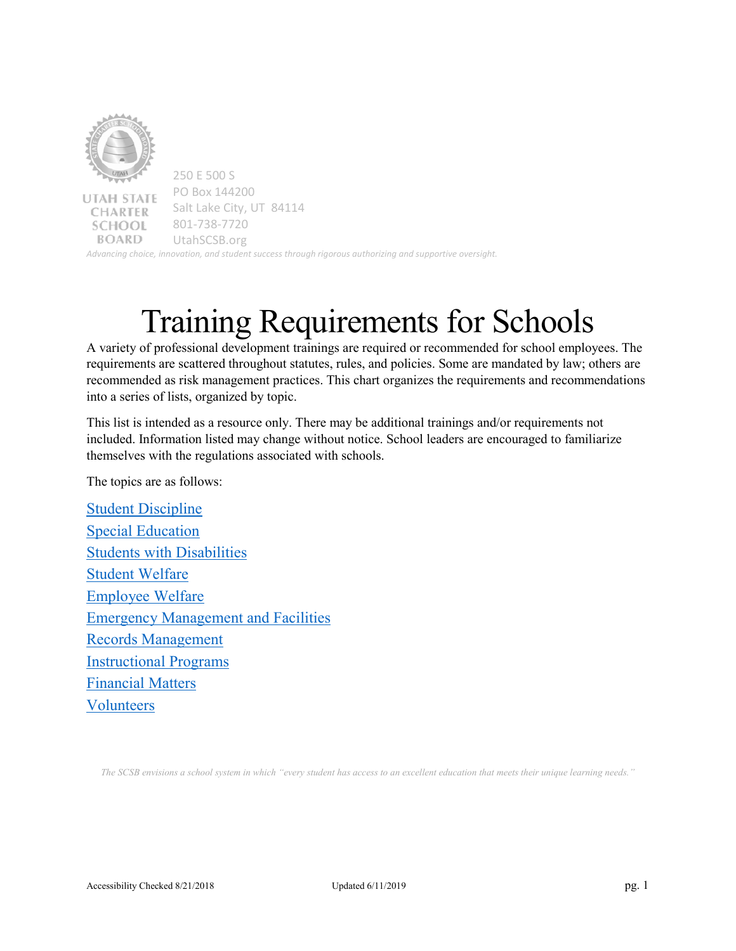

250 E 500 S PO Box 144200 **UTAH STATE** Salt Lake City, UT 84114 **CHARTER** 801-738-7720 **SCHOOL BOARD** UtahSCSB.org *Advancing choice, innovation, and student success through rigorous authorizing and supportive oversight.*

# Training Requirements for Schools

A variety of professional development trainings are required or recommended for school employees. The requirements are scattered throughout statutes, rules, and policies. Some are mandated by law; others are recommended as risk management practices. This chart organizes the requirements and recommendations into a series of lists, organized by topic.

This list is intended as a resource only. There may be additional trainings and/or requirements not included. Information listed may change without notice. School leaders are encouraged to familiarize themselves with the regulations associated with schools.

The topics are as follows:

[Student Discipline](#page-1-0) [Special Education](#page-2-0) [Students with Disabilities](#page-3-0) [Student Welfare](#page-4-0) [Employee Welfare](#page-7-0) [Emergency Management and Facilities](#page-9-0) [Records Management](#page-10-0) [Instructional Programs](#page-11-0) [Financial Matters](#page-13-0) [Volunteers](#page-14-0)

*The SCSB envisions a school system in which "every student has access to an excellent education that meets their unique learning needs."*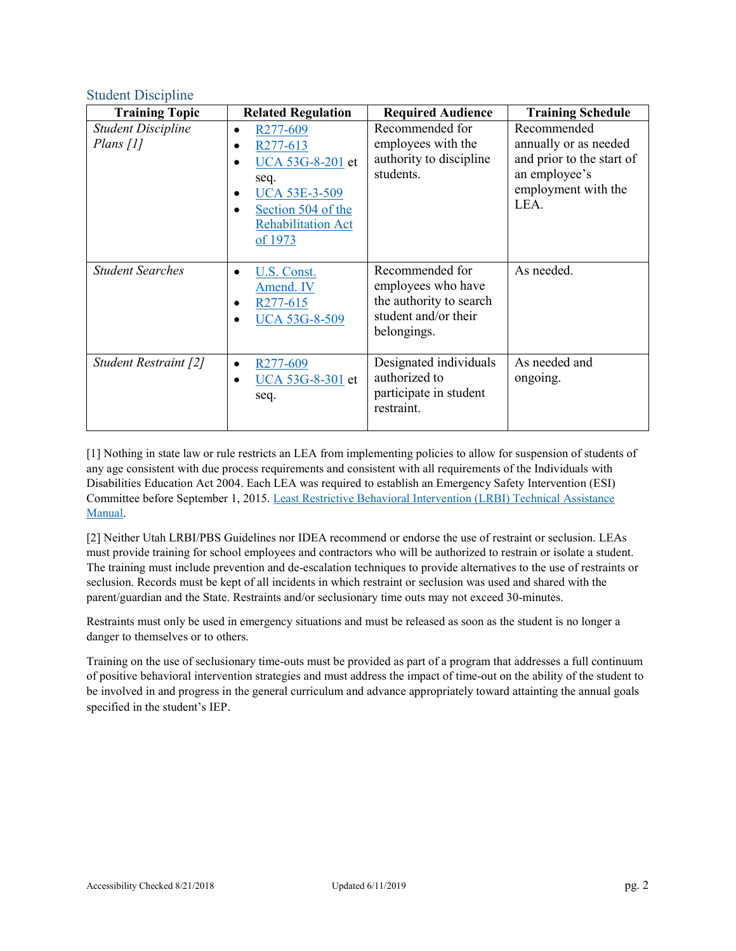## <span id="page-1-0"></span>Student Discipline

| <b>Training Topic</b>                    | <b>Related Regulation</b>                                                                                                                                                     | <b>Required Audience</b>                                                                                | <b>Training Schedule</b>                                                                                          |
|------------------------------------------|-------------------------------------------------------------------------------------------------------------------------------------------------------------------------------|---------------------------------------------------------------------------------------------------------|-------------------------------------------------------------------------------------------------------------------|
| <b>Student Discipline</b><br>Plans $[1]$ | R <sub>277</sub> -609<br>$\bullet$<br>R277-613<br>UCA 53G-8-201 et<br>$\bullet$<br>seq.<br><b>UCA 53E-3-509</b><br>Section 504 of the<br><b>Rehabilitation Act</b><br>of 1973 | Recommended for<br>employees with the<br>authority to discipline<br>students.                           | Recommended<br>annually or as needed<br>and prior to the start of<br>an employee's<br>employment with the<br>LEA. |
| <b>Student Searches</b>                  | U.S. Const.<br>Amend. IV<br>R277-615<br><b>UCA 53G-8-509</b>                                                                                                                  | Recommended for<br>employees who have<br>the authority to search<br>student and/or their<br>belongings. | As needed.                                                                                                        |
| Student Restraint [2]                    | R277-609<br>$\bullet$<br>UCA 53G-8-301 et<br>$\bullet$<br>seq.                                                                                                                | Designated individuals<br>authorized to<br>participate in student<br>restraint.                         | As needed and<br>ongoing.                                                                                         |

[1] Nothing in state law or rule restricts an LEA from implementing policies to allow for suspension of students of any age consistent with due process requirements and consistent with all requirements of the Individuals with Disabilities Education Act 2004. Each LEA was required to establish an Emergency Safety Intervention (ESI) Committee before September 1, 2015. [Least Restrictive Behavioral Intervention \(LRBI\) Technical Assistance](https://www.schools.utah.gov/specialeducation/resources/behavior)  [Manual.](https://www.schools.utah.gov/specialeducation/resources/behavior)

[2] Neither Utah LRBI/PBS Guidelines nor IDEA recommend or endorse the use of restraint or seclusion. LEAs must provide training for school employees and contractors who will be authorized to restrain or isolate a student. The training must include prevention and de-escalation techniques to provide alternatives to the use of restraints or seclusion. Records must be kept of all incidents in which restraint or seclusion was used and shared with the parent/guardian and the State. Restraints and/or seclusionary time outs may not exceed 30-minutes.

Restraints must only be used in emergency situations and must be released as soon as the student is no longer a danger to themselves or to others.

Training on the use of seclusionary time-outs must be provided as part of a program that addresses a full continuum of positive behavioral intervention strategies and must address the impact of time-out on the ability of the student to be involved in and progress in the general curriculum and advance appropriately toward attainting the annual goals specified in the student's IEP.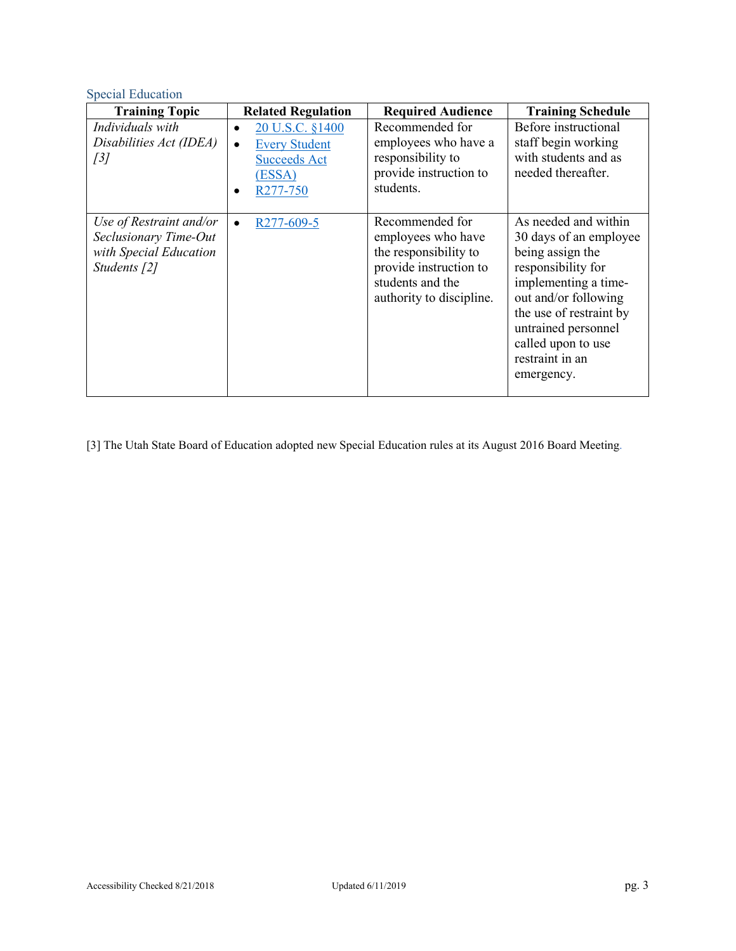# <span id="page-2-0"></span>Special Education

| <b>Training Topic</b>                                                                      | <b>Related Regulation</b>                                                            | <b>Required Audience</b>                                                                                                                 | <b>Training Schedule</b>                                                                                                                                                                                                                          |
|--------------------------------------------------------------------------------------------|--------------------------------------------------------------------------------------|------------------------------------------------------------------------------------------------------------------------------------------|---------------------------------------------------------------------------------------------------------------------------------------------------------------------------------------------------------------------------------------------------|
| Individuals with<br>Disabilities Act (IDEA)<br>$\int$ 3]                                   | 20 U.S.C. §1400<br><b>Every Student</b><br><b>Succeeds Act</b><br>(ESSA)<br>R277-750 | Recommended for<br>employees who have a<br>responsibility to<br>provide instruction to<br>students.                                      | Before instructional<br>staff begin working<br>with students and as<br>needed thereafter.                                                                                                                                                         |
| Use of Restraint and/or<br>Seclusionary Time-Out<br>with Special Education<br>Students [2] | R277-609-5<br>$\bullet$                                                              | Recommended for<br>employees who have<br>the responsibility to<br>provide instruction to<br>students and the<br>authority to discipline. | As needed and within<br>30 days of an employee<br>being assign the<br>responsibility for<br>implementing a time-<br>out and/or following<br>the use of restraint by<br>untrained personnel<br>called upon to use<br>restraint in an<br>emergency. |

[3] The Utah State Board of Education adopted new Special Education rules at its August 2016 Board Meeting.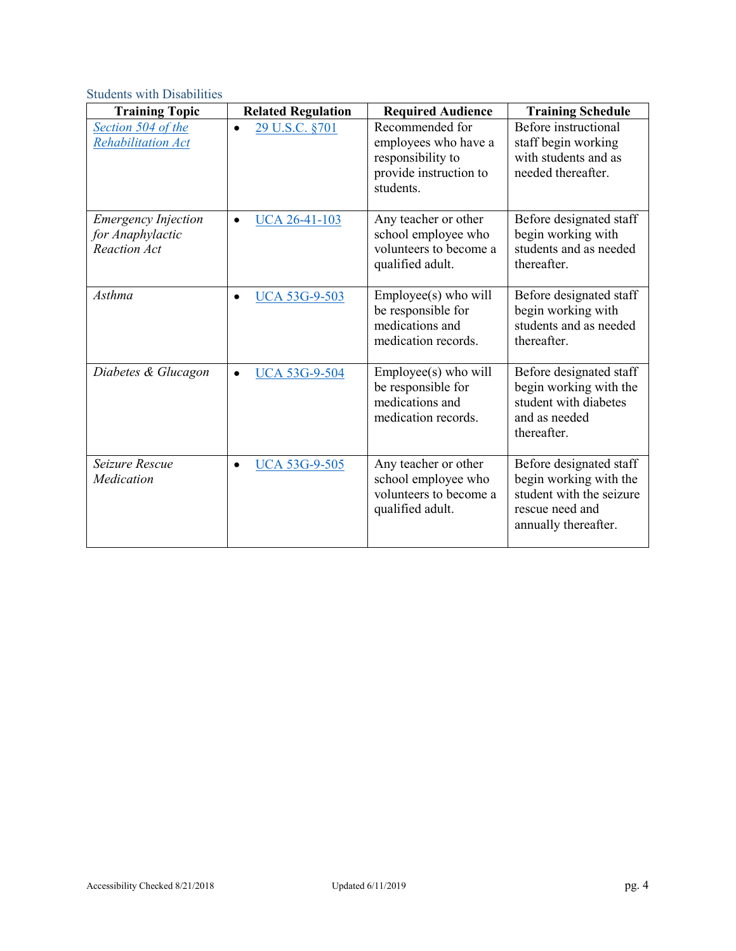<span id="page-3-0"></span>Students with Disabilities

| <b>Training Topic</b>                                                 | <b>Related Regulation</b>         | <b>Required Audience</b>                                                                            | <b>Training Schedule</b>                                                                                                 |
|-----------------------------------------------------------------------|-----------------------------------|-----------------------------------------------------------------------------------------------------|--------------------------------------------------------------------------------------------------------------------------|
| Section 504 of the<br><b>Rehabilitation Act</b>                       | 29 U.S.C. §701<br>$\bullet$       | Recommended for<br>employees who have a<br>responsibility to<br>provide instruction to<br>students. | Before instructional<br>staff begin working<br>with students and as<br>needed thereafter.                                |
| <b>Emergency Injection</b><br>for Anaphylactic<br><b>Reaction Act</b> | UCA 26-41-103<br>$\bullet$        | Any teacher or other<br>school employee who<br>volunteers to become a<br>qualified adult.           | Before designated staff<br>begin working with<br>students and as needed<br>thereafter.                                   |
| <b>Asthma</b>                                                         | <b>UCA 53G-9-503</b>              | Employee(s) who will<br>be responsible for<br>medications and<br>medication records.                | Before designated staff<br>begin working with<br>students and as needed<br>thereafter.                                   |
| Diabetes & Glucagon                                                   | <b>UCA 53G-9-504</b><br>$\bullet$ | Employee(s) who will<br>be responsible for<br>medications and<br>medication records.                | Before designated staff<br>begin working with the<br>student with diabetes<br>and as needed<br>thereafter.               |
| Seizure Rescue<br>Medication                                          | UCA 53G-9-505<br>$\bullet$        | Any teacher or other<br>school employee who<br>volunteers to become a<br>qualified adult.           | Before designated staff<br>begin working with the<br>student with the seizure<br>rescue need and<br>annually thereafter. |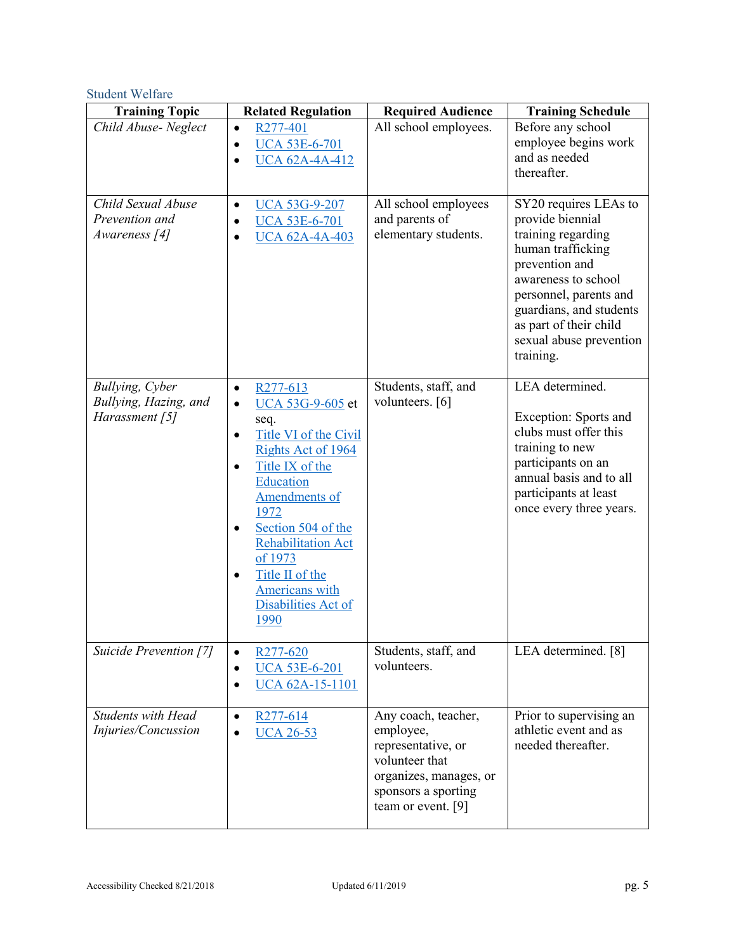## <span id="page-4-0"></span>Student Welfare

| <b>Training Topic</b>                                              | <b>Related Regulation</b>                                                                                                                                                                                                                                                                                                                                          | <b>Required Audience</b>                                                                                                                        | <b>Training Schedule</b>                                                                                                                                                                                                                             |
|--------------------------------------------------------------------|--------------------------------------------------------------------------------------------------------------------------------------------------------------------------------------------------------------------------------------------------------------------------------------------------------------------------------------------------------------------|-------------------------------------------------------------------------------------------------------------------------------------------------|------------------------------------------------------------------------------------------------------------------------------------------------------------------------------------------------------------------------------------------------------|
| Child Abuse-Neglect                                                | R <sub>277</sub> -401<br>$\bullet$<br><b>UCA 53E-6-701</b><br>$\bullet$<br><b>UCA 62A-4A-412</b><br>$\bullet$                                                                                                                                                                                                                                                      | All school employees.                                                                                                                           | Before any school<br>employee begins work<br>and as needed<br>thereafter.                                                                                                                                                                            |
| Child Sexual Abuse<br>Prevention and<br>Awareness [4]              | UCA 53G-9-207<br>$\bullet$<br><b>UCA 53E-6-701</b><br>$\bullet$<br><b>UCA 62A-4A-403</b><br>$\bullet$                                                                                                                                                                                                                                                              | All school employees<br>and parents of<br>elementary students.                                                                                  | SY20 requires LEAs to<br>provide biennial<br>training regarding<br>human trafficking<br>prevention and<br>awareness to school<br>personnel, parents and<br>guardians, and students<br>as part of their child<br>sexual abuse prevention<br>training. |
| <b>Bullying</b> , Cyber<br>Bullying, Hazing, and<br>Harassment [5] | R277-613<br>$\bullet$<br>UCA 53G-9-605 et<br>$\bullet$<br>seq.<br>Title VI of the Civil<br>$\bullet$<br>Rights Act of 1964<br>Title IX of the<br>$\bullet$<br>Education<br><b>Amendments of</b><br>1972<br>Section 504 of the<br>٠<br><b>Rehabilitation Act</b><br>of 1973<br>Title II of the<br>٠<br><b>Americans</b> with<br>Disabilities Act of<br><u> 1990</u> | Students, staff, and<br>volunteers. [6]                                                                                                         | LEA determined.<br>Exception: Sports and<br>clubs must offer this<br>training to new<br>participants on an<br>annual basis and to all<br>participants at least<br>once every three years.                                                            |
| Suicide Prevention [7]                                             | R <sub>277</sub> -620<br>$\bullet$<br><b>UCA 53E-6-201</b><br>٠<br>UCA 62A-15-1101                                                                                                                                                                                                                                                                                 | Students, staff, and<br>volunteers.                                                                                                             | LEA determined. [8]                                                                                                                                                                                                                                  |
| <b>Students with Head</b><br>Injuries/Concussion                   | R <sub>277</sub> -614<br><b>UCA 26-53</b>                                                                                                                                                                                                                                                                                                                          | Any coach, teacher,<br>employee,<br>representative, or<br>volunteer that<br>organizes, manages, or<br>sponsors a sporting<br>team or event. [9] | Prior to supervising an<br>athletic event and as<br>needed thereafter.                                                                                                                                                                               |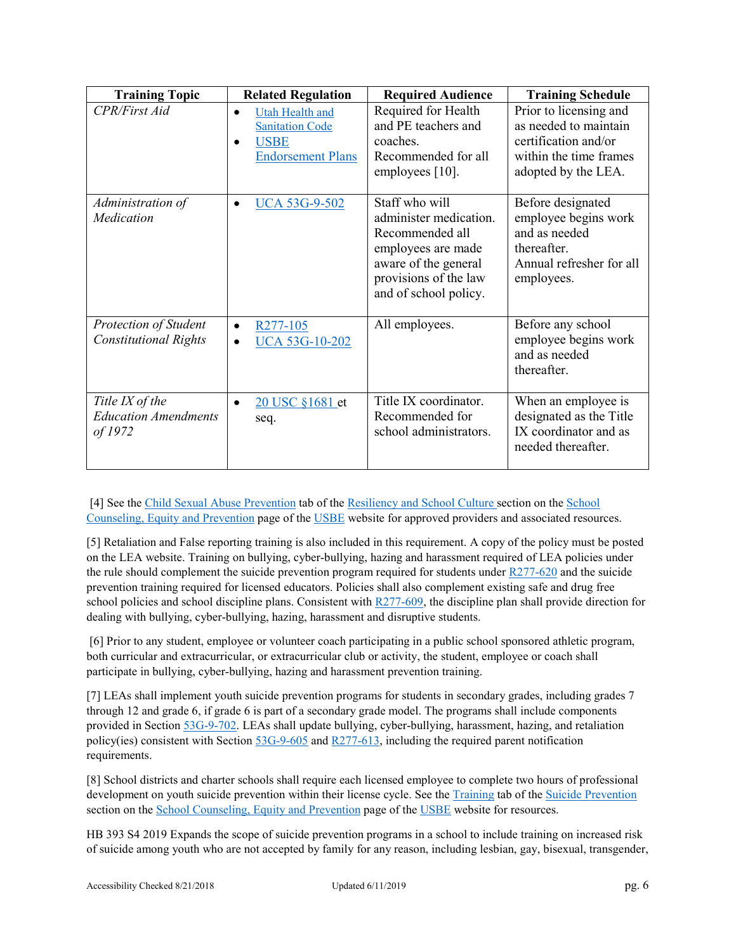| <b>Training Topic</b>                                     | <b>Related Regulation</b>                                                                   | <b>Required Audience</b>                                                                                                                                    | <b>Training Schedule</b>                                                                                                 |
|-----------------------------------------------------------|---------------------------------------------------------------------------------------------|-------------------------------------------------------------------------------------------------------------------------------------------------------------|--------------------------------------------------------------------------------------------------------------------------|
| <b>CPR/First Aid</b>                                      | <b>Utah Health and</b><br><b>Sanitation Code</b><br><b>USBE</b><br><b>Endorsement Plans</b> | Required for Health<br>and PE teachers and<br>coaches.<br>Recommended for all<br>employees [10].                                                            | Prior to licensing and<br>as needed to maintain<br>certification and/or<br>within the time frames<br>adopted by the LEA. |
| Administration of<br>Medication                           | <b>UCA 53G-9-502</b><br>$\bullet$                                                           | Staff who will<br>administer medication.<br>Recommended all<br>employees are made<br>aware of the general<br>provisions of the law<br>and of school policy. | Before designated<br>employee begins work<br>and as needed<br>thereafter.<br>Annual refresher for all<br>employees.      |
| Protection of Student<br><b>Constitutional Rights</b>     | R <sub>277</sub> -105<br>$\bullet$<br>UCA 53G-10-202                                        | All employees.                                                                                                                                              | Before any school<br>employee begins work<br>and as needed<br>thereafter.                                                |
| Title IX of the<br><b>Education Amendments</b><br>of 1972 | 20 USC §1681 et<br>$\bullet$<br>seq.                                                        | Title IX coordinator.<br>Recommended for<br>school administrators.                                                                                          | When an employee is<br>designated as the Title<br>IX coordinator and as<br>needed thereafter.                            |

[4] See th[e Child Sexual Abuse Prevention](https://www.schools.utah.gov/scep/resiliency) tab of the [Resiliency and School Culture s](https://www.schools.utah.gov/scep/resiliency)ection on the [School](https://www.schools.utah.gov/scep)  [Counseling, Equity and Prevention](https://www.schools.utah.gov/scep) page of the [USBE](https://www.schools.utah.gov/) website for approved providers and associated resources.

[5] Retaliation and False reporting training is also included in this requirement. A copy of the policy must be posted on the LEA website. Training on bullying, cyber-bullying, hazing and harassment required of LEA policies under the rule should complement the suicide prevention program required for students unde[r R277-620](https://rules.utah.gov/publicat/code/r277/r277-620.htm) and the suicide prevention training required for licensed educators. Policies shall also complement existing safe and drug free school policies and school discipline plans. Consistent with [R277-609,](https://rules.utah.gov/publicat/code/r277/r277-609.htm) the discipline plan shall provide direction for dealing with bullying, cyber-bullying, hazing, harassment and disruptive students.

[6] Prior to any student, employee or volunteer coach participating in a public school sponsored athletic program, both curricular and extracurricular, or extracurricular club or activity, the student, employee or coach shall participate in bullying, cyber-bullying, hazing and harassment prevention training.

[7] LEAs shall implement youth suicide prevention programs for students in secondary grades, including grades 7 through 12 and grade 6, if grade 6 is part of a secondary grade model. The programs shall include components provided in Section [53G-9-702.](https://le.utah.gov/xcode/Title53G/Chapter9/53G-9-S702.html?v=C53G-9-S702_2018032220180322) LEAs shall update bullying, cyber-bullying, harassment, hazing, and retaliation policy(ies) consistent with Sectio[n 53G-9-605](https://le.utah.gov/xcode/Title53G/Chapter9/53G-9-S605.html?v=C53G-9-S605_2018012420180124) and [R277-613,](https://rules.utah.gov/publicat/code/r277/r277-613.htm) including the required parent notification requirements.

[8] School districts and charter schools shall require each licensed employee to complete two hours of professional development on youth suicide prevention within their license cycle. See the [Training](https://www.schools.utah.gov/scep/suicideprevention) tab of the [Suicide Prevention](https://www.schools.utah.gov/scep/suicideprevention)  section on the [School Counseling, Equity and Prevention](https://www.schools.utah.gov/scep) page of th[e USBE](https://www.schools.utah.gov/) website for resources.

HB 393 S4 2019 Expands the scope of suicide prevention programs in a school to include training on increased risk of suicide among youth who are not accepted by family for any reason, including lesbian, gay, bisexual, transgender,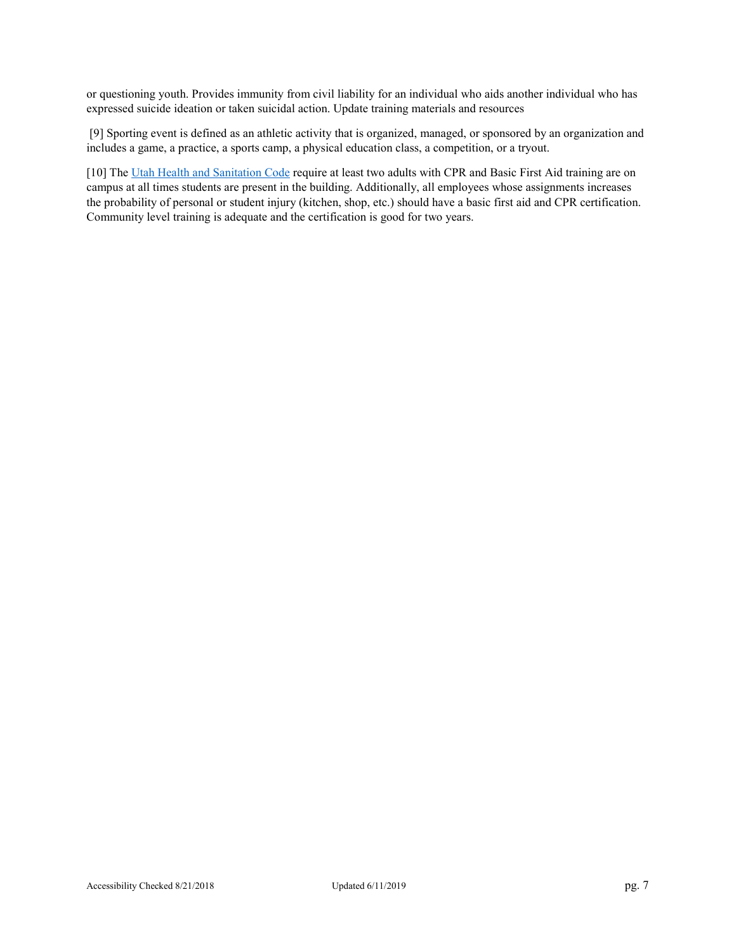or questioning youth. Provides immunity from civil liability for an individual who aids another individual who has expressed suicide ideation or taken suicidal action. Update training materials and resources

[9] Sporting event is defined as an athletic activity that is organized, managed, or sponsored by an organization and includes a game, a practice, a sports camp, a physical education class, a competition, or a tryout.

[10] The [Utah Health and Sanitation Code](https://rules.utah.gov/publicat/code/r392/r392-200.htm#T9) require at least two adults with CPR and Basic First Aid training are on campus at all times students are present in the building. Additionally, all employees whose assignments increases the probability of personal or student injury (kitchen, shop, etc.) should have a basic first aid and CPR certification. Community level training is adequate and the certification is good for two years.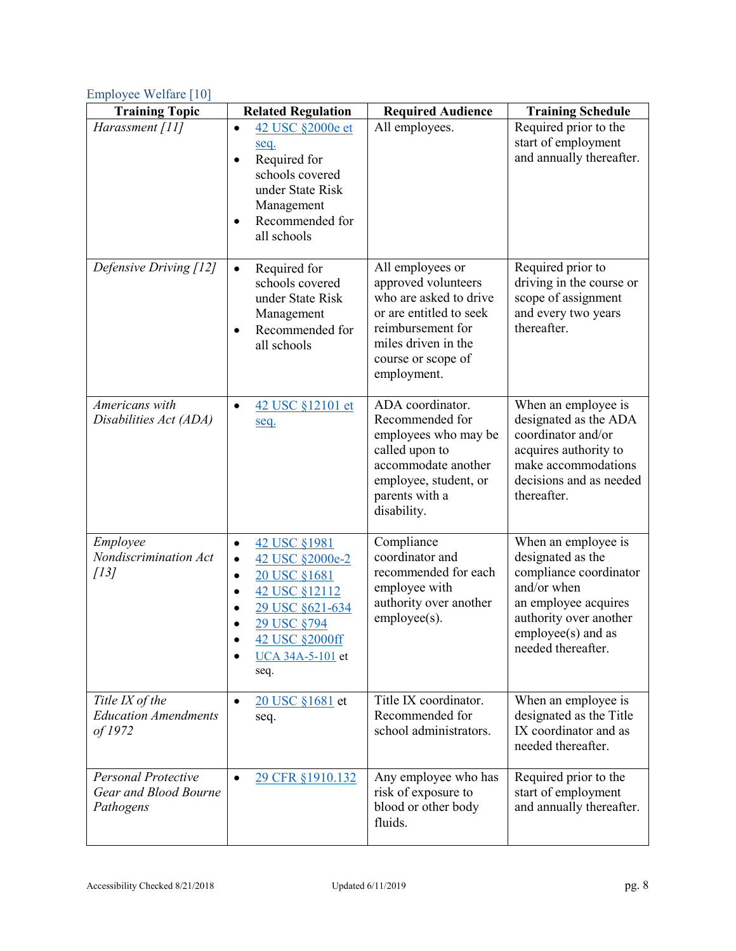# <span id="page-7-0"></span>Employee Welfare [10]

| <b>Training Topic</b>                                            | <b>Related Regulation</b>                                                                                                                                                                                                      | <b>Required Audience</b>                                                                                                                                                      | <b>Training Schedule</b>                                                                                                                                                          |
|------------------------------------------------------------------|--------------------------------------------------------------------------------------------------------------------------------------------------------------------------------------------------------------------------------|-------------------------------------------------------------------------------------------------------------------------------------------------------------------------------|-----------------------------------------------------------------------------------------------------------------------------------------------------------------------------------|
| Harassment [11]                                                  | 42 USC §2000e et<br>$\bullet$<br>seq.<br>Required for<br>$\bullet$<br>schools covered<br>under State Risk<br>Management<br>Recommended for<br>$\bullet$<br>all schools                                                         | All employees.                                                                                                                                                                | Required prior to the<br>start of employment<br>and annually thereafter.                                                                                                          |
| Defensive Driving [12]                                           | Required for<br>$\bullet$<br>schools covered<br>under State Risk<br>Management<br>Recommended for<br>all schools                                                                                                               | All employees or<br>approved volunteers<br>who are asked to drive<br>or are entitled to seek<br>reimbursement for<br>miles driven in the<br>course or scope of<br>employment. | Required prior to<br>driving in the course or<br>scope of assignment<br>and every two years<br>thereafter.                                                                        |
| Americans with<br>Disabilities Act (ADA)                         | 42 USC §12101 et<br>$\bullet$<br>seq.                                                                                                                                                                                          | ADA coordinator.<br>Recommended for<br>employees who may be<br>called upon to<br>accommodate another<br>employee, student, or<br>parents with a<br>disability.                | When an employee is<br>designated as the ADA<br>coordinator and/or<br>acquires authority to<br>make accommodations<br>decisions and as needed<br>thereafter.                      |
| Employee<br>Nondiscrimination Act<br>[13]                        | 42 USC §1981<br>$\bullet$<br>42 USC §2000e-2<br>$\bullet$<br>20 USC §1681<br>$\bullet$<br>42 USC §12112<br>$\bullet$<br>29 USC §621-634<br>$\bullet$<br>29 USC §794<br>$\bullet$<br>42 USC §2000ff<br>UCA 34A-5-101 et<br>seq. | Compliance<br>coordinator and<br>recommended for each<br>employee with<br>authority over another<br>$employee(s)$ .                                                           | When an employee is<br>designated as the<br>compliance coordinator<br>and/or when<br>an employee acquires<br>authority over another<br>$employee(s)$ and as<br>needed thereafter. |
| Title IX of the<br><b>Education Amendments</b><br>of 1972        | 20 USC §1681 et<br>$\bullet$<br>seq.                                                                                                                                                                                           | Title IX coordinator.<br>Recommended for<br>school administrators.                                                                                                            | When an employee is<br>designated as the Title<br>IX coordinator and as<br>needed thereafter.                                                                                     |
| <b>Personal Protective</b><br>Gear and Blood Bourne<br>Pathogens | 29 CFR §1910.132                                                                                                                                                                                                               | Any employee who has<br>risk of exposure to<br>blood or other body<br>fluids.                                                                                                 | Required prior to the<br>start of employment<br>and annually thereafter.                                                                                                          |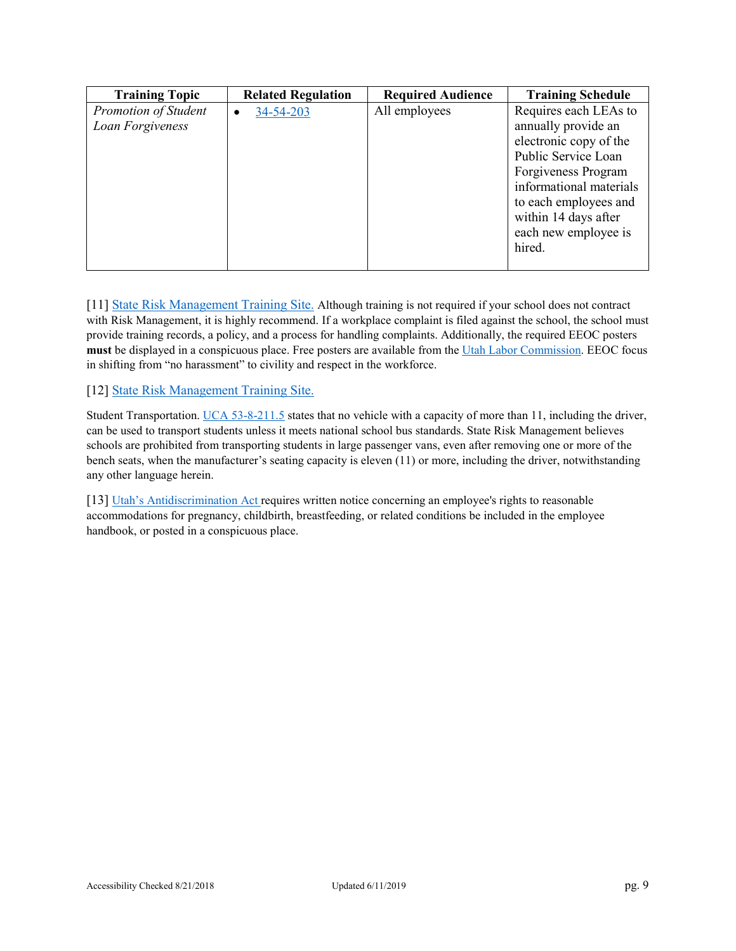| <b>Training Topic</b>                    | <b>Related Regulation</b> | <b>Required Audience</b> | <b>Training Schedule</b>                                                                                                                                                                         |
|------------------------------------------|---------------------------|--------------------------|--------------------------------------------------------------------------------------------------------------------------------------------------------------------------------------------------|
| Promotion of Student<br>Loan Forgiveness | 34-54-203<br>$\bullet$    | All employees            | Requires each LEAs to<br>annually provide an<br>electronic copy of the<br>Public Service Loan<br>Forgiveness Program<br>informational materials<br>to each employees and<br>within 14 days after |
|                                          |                           |                          | each new employee is                                                                                                                                                                             |
|                                          |                           |                          | hired.                                                                                                                                                                                           |
|                                          |                           |                          |                                                                                                                                                                                                  |

[11] [State Risk Management Training Site.](http://risk.utah.gov/risk-training.html) Although training is not required if your school does not contract with Risk Management, it is highly recommend. If a workplace complaint is filed against the school, the school must provide training records, a policy, and a process for handling complaints. Additionally, the required EEOC posters **must** be displayed in a conspicuous place. Free posters are available from th[e Utah Labor Commission.](https://laborcommission.utah.gov/divisions/UOSH/RequiredPosters.html) EEOC focus in shifting from "no harassment" to civility and respect in the workforce.

#### [12] [State Risk Management Training Site.](http://risk.utah.gov/risk-training.html)

Student Transportation. [UCA 53-8-211.5](https://le.utah.gov/xcode/Title53/Chapter8/53-8-S211.5.html) states that no vehicle with a capacity of more than 11, including the driver, can be used to transport students unless it meets national school bus standards. State Risk Management believes schools are prohibited from transporting students in large passenger vans, even after removing one or more of the bench seats, when the manufacturer's seating capacity is eleven (11) or more, including the driver, notwithstanding any other language herein.

[13] [Utah's Antidiscrimination Act r](https://le.utah.gov/xcode/Title34A/Chapter5/34A-5-S106.html)equires written notice concerning an employee's rights to reasonable accommodations for pregnancy, childbirth, breastfeeding, or related conditions be included in the employee handbook, or posted in a conspicuous place.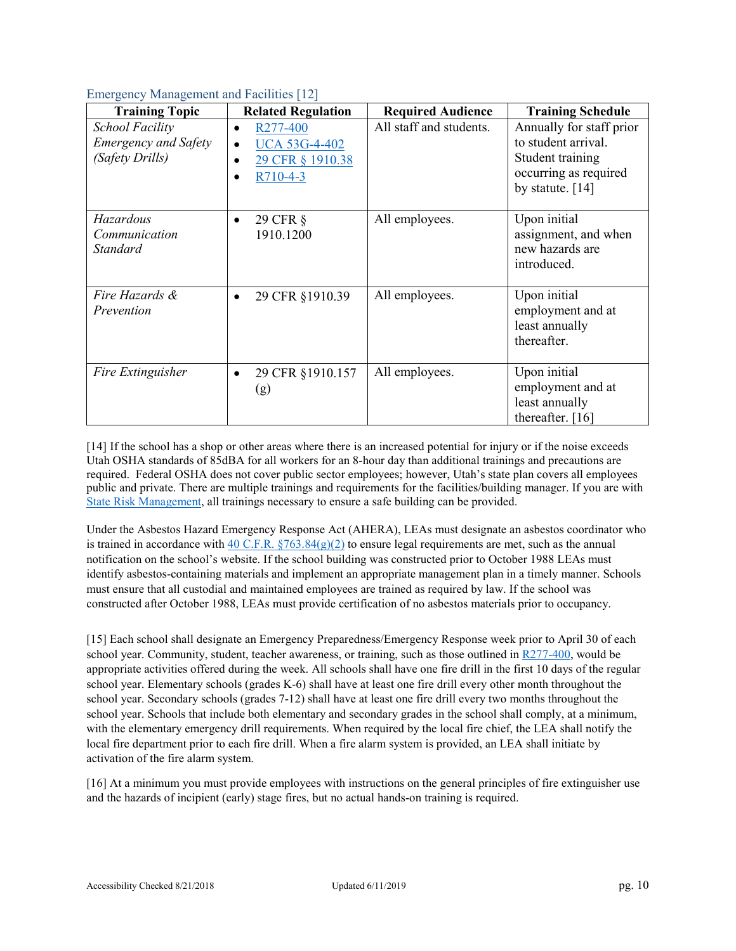| <b>Training Topic</b>                                                    | <b>Related Regulation</b>                                                                                                 | <b>Required Audience</b> | <b>Training Schedule</b>                                                                                           |
|--------------------------------------------------------------------------|---------------------------------------------------------------------------------------------------------------------------|--------------------------|--------------------------------------------------------------------------------------------------------------------|
| <b>School Facility</b><br><b>Emergency and Safety</b><br>(Safety Drills) | R <sub>277</sub> -400<br>٠<br><b>UCA 53G-4-402</b><br>$\bullet$<br>29 CFR § 1910.38<br>$\bullet$<br>R710-4-3<br>$\bullet$ | All staff and students.  | Annually for staff prior<br>to student arrival.<br>Student training<br>occurring as required<br>by statute. $[14]$ |
| Hazardous<br>Communication<br><b>Standard</b>                            | 29 CFR §<br>$\bullet$<br>1910.1200                                                                                        | All employees.           | Upon initial<br>assignment, and when<br>new hazards are<br>introduced.                                             |
| Fire Hazards &<br>Prevention                                             | 29 CFR §1910.39                                                                                                           | All employees.           | Upon initial<br>employment and at<br>least annually<br>thereafter.                                                 |
| Fire Extinguisher                                                        | 29 CFR §1910.157<br>٠<br>(g)                                                                                              | All employees.           | Upon initial<br>employment and at<br>least annually<br>thereafter. [16]                                            |

#### <span id="page-9-0"></span>Emergency Management and Facilities [12]

[14] If the school has a shop or other areas where there is an increased potential for injury or if the noise exceeds Utah OSHA standards of 85dBA for all workers for an 8-hour day than additional trainings and precautions are required. Federal OSHA does not cover public sector employees; however, Utah's state plan covers all employees public and private. There are multiple trainings and requirements for the facilities/building manager. If you are with [State Risk Management,](https://risk.utah.gov/loss-control/) all trainings necessary to ensure a safe building can be provided.

Under the Asbestos Hazard Emergency Response Act (AHERA), LEAs must designate an asbestos coordinator who is trained in accordance with 40 C.F.R.  $\frac{$763.84(g)(2)}{2}$  to ensure legal requirements are met, such as the annual notification on the school's website. If the school building was constructed prior to October 1988 LEAs must identify asbestos-containing materials and implement an appropriate management plan in a timely manner. Schools must ensure that all custodial and maintained employees are trained as required by law. If the school was constructed after October 1988, LEAs must provide certification of no asbestos materials prior to occupancy.

[15] Each school shall designate an Emergency Preparedness/Emergency Response week prior to April 30 of each school year. Community, student, teacher awareness, or training, such as those outlined in  $\frac{R277-400}{R277-400}$ , would be appropriate activities offered during the week. All schools shall have one fire drill in the first 10 days of the regular school year. Elementary schools (grades K-6) shall have at least one fire drill every other month throughout the school year. Secondary schools (grades 7-12) shall have at least one fire drill every two months throughout the school year. Schools that include both elementary and secondary grades in the school shall comply, at a minimum, with the elementary emergency drill requirements. When required by the local fire chief, the LEA shall notify the local fire department prior to each fire drill. When a fire alarm system is provided, an LEA shall initiate by activation of the fire alarm system.

[16] At a minimum you must provide employees with instructions on the general principles of fire extinguisher use and the hazards of incipient (early) stage fires, but no actual hands-on training is required.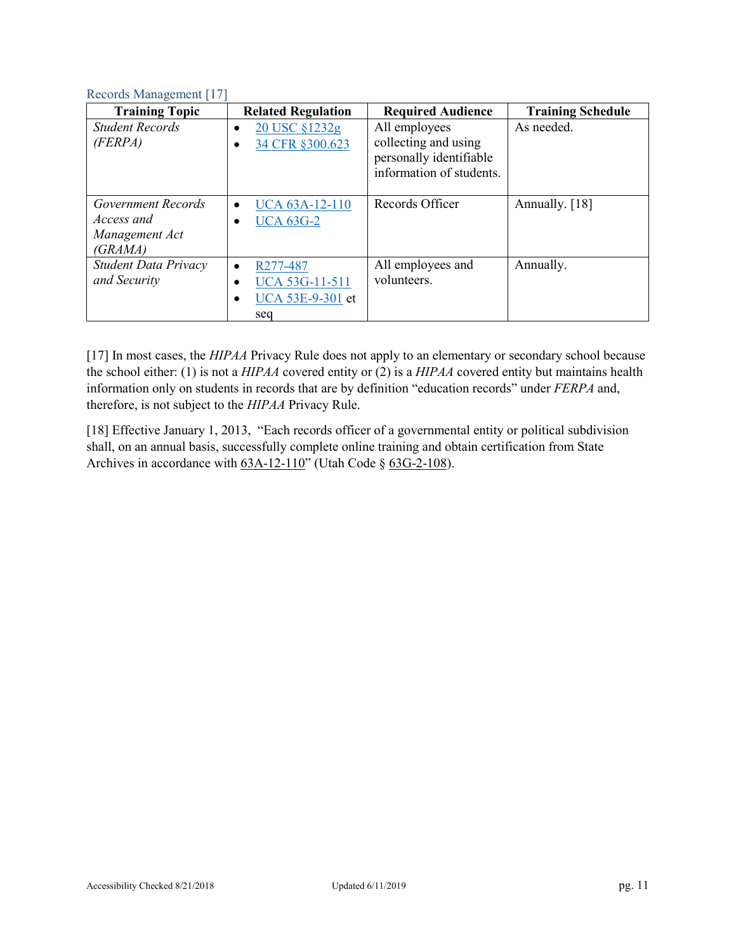#### <span id="page-10-0"></span>Records Management [17]

| <b>Training Topic</b>       | <b>Related Regulation</b>  | <b>Required Audience</b> | <b>Training Schedule</b> |
|-----------------------------|----------------------------|--------------------------|--------------------------|
| <b>Student Records</b>      | 20 USC §1232g<br>$\bullet$ | All employees            | As needed.               |
| (FERPA)                     | 34 CFR §300.623            | collecting and using     |                          |
|                             |                            | personally identifiable  |                          |
|                             |                            | information of students. |                          |
|                             |                            |                          |                          |
| Government Records          | <b>UCA 63A-12-110</b><br>٠ | Records Officer          | Annually. [18]           |
| Access and                  | <b>UCA 63G-2</b>           |                          |                          |
| Management Act              |                            |                          |                          |
| (GRAMA)                     |                            |                          |                          |
| <b>Student Data Privacy</b> | R277-487<br>$\bullet$      | All employees and        | Annually.                |
| and Security                | <b>UCA 53G-11-511</b>      | volunteers.              |                          |
|                             | UCA 53E-9-301 et<br>٠      |                          |                          |
|                             | seq                        |                          |                          |

[17] In most cases, the *HIPAA* Privacy Rule does not apply to an elementary or secondary school because the school either: (1) is not a *HIPAA* covered entity or (2) is a *HIPAA* covered entity but maintains health information only on students in records that are by definition "education records" under *FERPA* and, therefore, is not subject to the *HIPAA* Privacy Rule.

[18] Effective January 1, 2013, "Each records officer of a governmental entity or political subdivision shall, on an annual basis, successfully complete online training and obtain certification from State Archives in accordance with [63A-12-110"](http://le.utah.gov/xcode/Title63A/Chapter12/63A-12-S110.html) (Utah Code § [63G-2-108\)](http://le.utah.gov/xcode/Title63G/Chapter2/63G-2-S108.html).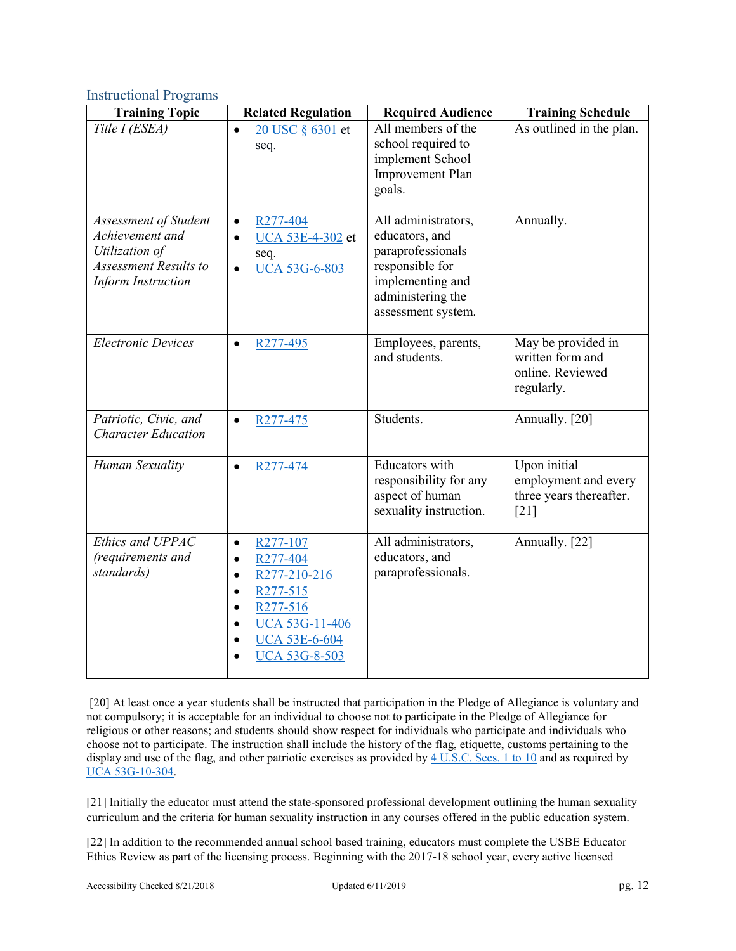#### <span id="page-11-0"></span>Instructional Programs

| <b>Training Topic</b>                                                                                                          | <b>Related Regulation</b>                                                                                                                                                                                                              | <b>Required Audience</b>                                                                                                                     | <b>Training Schedule</b>                                                  |
|--------------------------------------------------------------------------------------------------------------------------------|----------------------------------------------------------------------------------------------------------------------------------------------------------------------------------------------------------------------------------------|----------------------------------------------------------------------------------------------------------------------------------------------|---------------------------------------------------------------------------|
| Title I (ESEA)                                                                                                                 | 20 USC § 6301 et<br>$\bullet$<br>seq.                                                                                                                                                                                                  | All members of the<br>school required to<br>implement School<br>Improvement Plan<br>goals.                                                   | As outlined in the plan.                                                  |
| <b>Assessment of Student</b><br>Achievement and<br>Utilization of<br><b>Assessment Results to</b><br><b>Inform Instruction</b> | R <sub>277</sub> -404<br>$\bullet$<br>UCA 53E-4-302 et<br>seq.<br><b>UCA 53G-6-803</b>                                                                                                                                                 | All administrators,<br>educators, and<br>paraprofessionals<br>responsible for<br>implementing and<br>administering the<br>assessment system. | Annually.                                                                 |
| <b>Electronic Devices</b>                                                                                                      | R277-495<br>$\bullet$                                                                                                                                                                                                                  | Employees, parents,<br>and students.                                                                                                         | May be provided in<br>written form and<br>online. Reviewed<br>regularly.  |
| Patriotic, Civic, and<br><b>Character Education</b>                                                                            | R277-475                                                                                                                                                                                                                               | Students.                                                                                                                                    | Annually. [20]                                                            |
| Human Sexuality                                                                                                                | R277-474<br>$\bullet$                                                                                                                                                                                                                  | Educators with<br>responsibility for any<br>aspect of human<br>sexuality instruction.                                                        | Upon initial<br>employment and every<br>three years thereafter.<br>$[21]$ |
| Ethics and UPPAC<br>(requirements and<br>standards)                                                                            | R <sub>277</sub> -107<br>$\bullet$<br>R277-404<br>$\bullet$<br>R277-210-216<br>$\bullet$<br>R277-515<br>$\bullet$<br>R277-516<br>$\bullet$<br><b>UCA 53G-11-406</b><br>$\bullet$<br><b>UCA 53E-6-604</b><br>$\bullet$<br>UCA 53G-8-503 | All administrators,<br>educators, and<br>paraprofessionals.                                                                                  | Annually. [22]                                                            |

[20] At least once a year students shall be instructed that participation in the Pledge of Allegiance is voluntary and not compulsory; it is acceptable for an individual to choose not to participate in the Pledge of Allegiance for religious or other reasons; and students should show respect for individuals who participate and individuals who choose not to participate. The instruction shall include the history of the flag, etiquette, customs pertaining to the display and use of the flag, and other patriotic exercises as provided b[y 4 U.S.C. Secs. 1 to 10](https://www.law.cornell.edu/uscode/text/4/chapter-1) and as required by UCA [53G-10-304.](https://le.utah.gov/xcode/Title53G/Chapter10/53G-10-S304.html?v=C53G-10-S304_2018012420180124) 

[21] Initially the educator must attend the state-sponsored professional development outlining the human sexuality curriculum and the criteria for human sexuality instruction in any courses offered in the public education system.

[22] In addition to the recommended annual school based training, educators must complete the USBE Educator Ethics Review as part of the licensing process. Beginning with the 2017-18 school year, every active licensed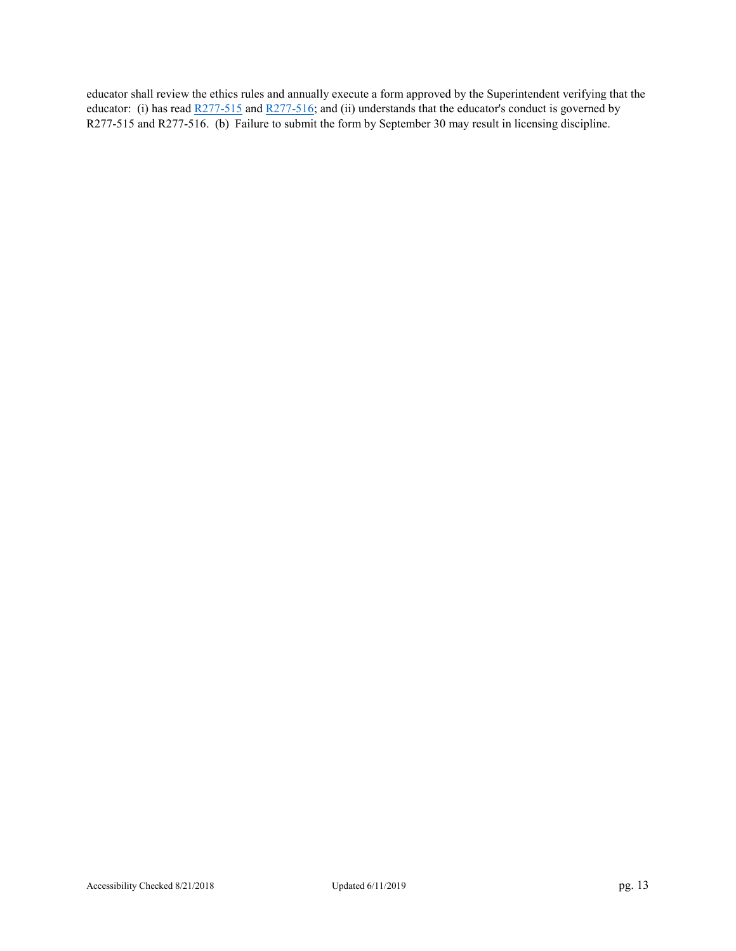educator shall review the ethics rules and annually execute a form approved by the Superintendent verifying that the educator: (i) has read  $\frac{R277-515}{R277-516}$ ; and (ii) understands that the educator's conduct is governed by R277-515 and R277-516. (b) Failure to submit the form by September 30 may result in licensing discipline.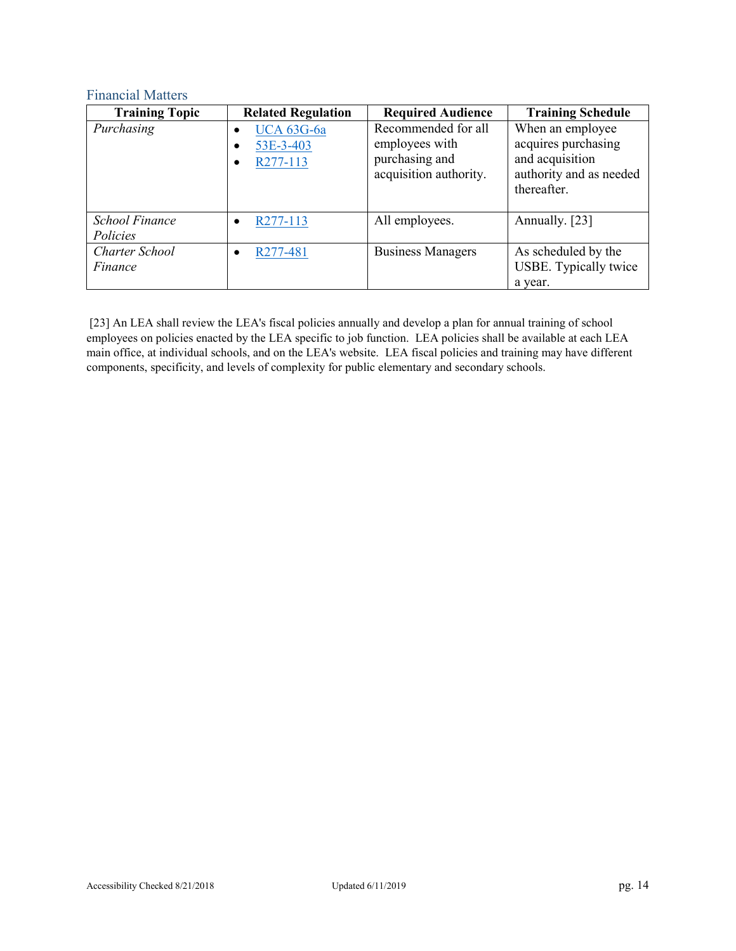# <span id="page-13-0"></span>Financial Matters

| <b>Training Topic</b>             | <b>Related Regulation</b>                  | <b>Required Audience</b>                                                          | <b>Training Schedule</b>                                                                             |
|-----------------------------------|--------------------------------------------|-----------------------------------------------------------------------------------|------------------------------------------------------------------------------------------------------|
| Purchasing                        | <b>UCA 63G-6a</b><br>53E-3-403<br>R277-113 | Recommended for all<br>employees with<br>purchasing and<br>acquisition authority. | When an employee<br>acquires purchasing<br>and acquisition<br>authority and as needed<br>thereafter. |
| <b>School Finance</b><br>Policies | R277-113                                   | All employees.                                                                    | Annually. [23]                                                                                       |
| Charter School<br>Finance         | R277-481                                   | <b>Business Managers</b>                                                          | As scheduled by the<br>USBE. Typically twice<br>a year.                                              |

[23] An LEA shall review the LEA's fiscal policies annually and develop a plan for annual training of school employees on policies enacted by the LEA specific to job function. LEA policies shall be available at each LEA main office, at individual schools, and on the LEA's website. LEA fiscal policies and training may have different components, specificity, and levels of complexity for public elementary and secondary schools.